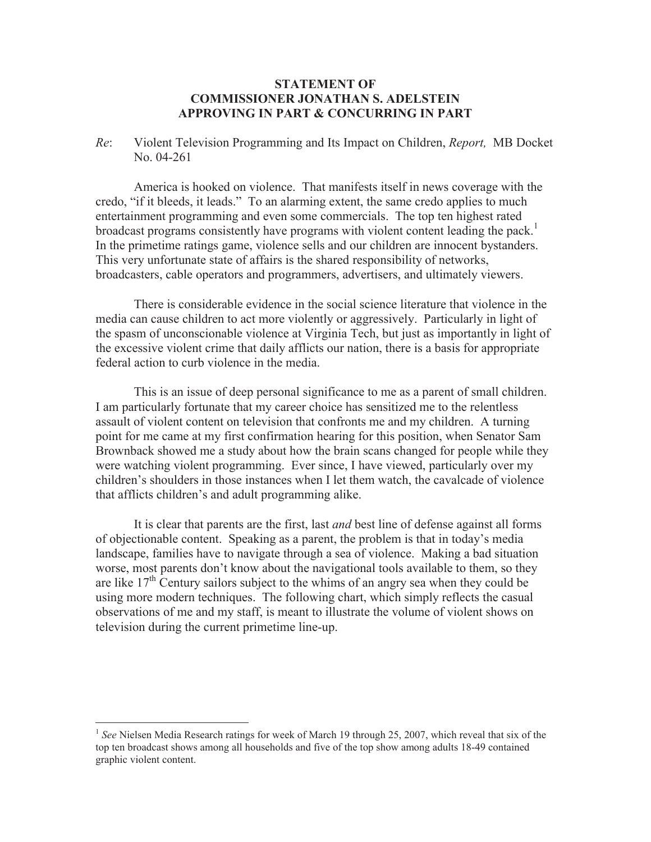## **STATEMENT OF COMMISSIONER JONATHAN S. ADELSTEIN APPROVING IN PART & CONCURRING IN PART**

*Re*: Violent Television Programming and Its Impact on Children, *Report,* MB Docket No. 04-261

America is hooked on violence. That manifests itself in news coverage with the credo, "if it bleeds, it leads." To an alarming extent, the same credo applies to much entertainment programming and even some commercials. The top ten highest rated broadcast programs consistently have programs with violent content leading the pack.<sup>1</sup> In the primetime ratings game, violence sells and our children are innocent bystanders. This very unfortunate state of affairs is the shared responsibility of networks, broadcasters, cable operators and programmers, advertisers, and ultimately viewers.

There is considerable evidence in the social science literature that violence in the media can cause children to act more violently or aggressively. Particularly in light of the spasm of unconscionable violence at Virginia Tech, but just as importantly in light of the excessive violent crime that daily afflicts our nation, there is a basis for appropriate federal action to curb violence in the media.

This is an issue of deep personal significance to me as a parent of small children. I am particularly fortunate that my career choice has sensitized me to the relentless assault of violent content on television that confronts me and my children. A turning point for me came at my first confirmation hearing for this position, when Senator Sam Brownback showed me a study about how the brain scans changed for people while they were watching violent programming. Ever since, I have viewed, particularly over my children's shoulders in those instances when I let them watch, the cavalcade of violence that afflicts children's and adult programming alike.

It is clear that parents are the first, last *and* best line of defense against all forms of objectionable content. Speaking as a parent, the problem is that in today's media landscape, families have to navigate through a sea of violence. Making a bad situation worse, most parents don't know about the navigational tools available to them, so they are like  $17<sup>th</sup>$  Century sailors subject to the whims of an angry sea when they could be using more modern techniques. The following chart, which simply reflects the casual observations of me and my staff, is meant to illustrate the volume of violent shows on television during the current primetime line-up.

<sup>&</sup>lt;sup>1</sup> See Nielsen Media Research ratings for week of March 19 through 25, 2007, which reveal that six of the top ten broadcast shows among all households and five of the top show among adults 18-49 contained graphic violent content.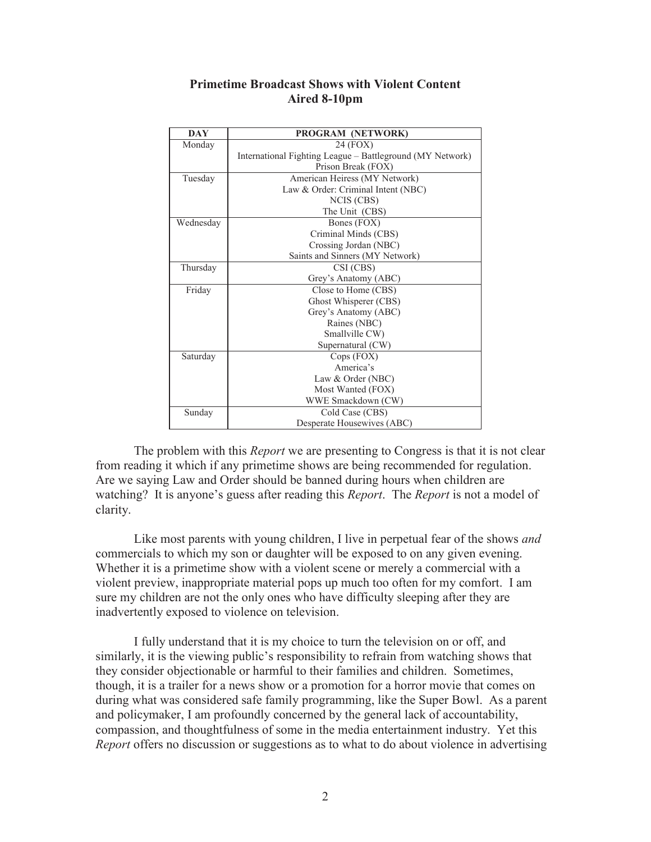## **Primetime Broadcast Shows with Violent Content Aired 8-10pm**

| <b>DAY</b> | PROGRAM (NETWORK)                                         |
|------------|-----------------------------------------------------------|
| Monday     | 24 (FOX)                                                  |
|            | International Fighting League – Battleground (MY Network) |
|            | Prison Break (FOX)                                        |
| Tuesday    | American Heiress (MY Network)                             |
|            | Law & Order: Criminal Intent (NBC)                        |
|            | NCIS (CBS)                                                |
|            | The Unit (CBS)                                            |
| Wednesday  | Bones (FOX)                                               |
|            | Criminal Minds (CBS)                                      |
|            | Crossing Jordan (NBC)                                     |
|            | Saints and Sinners (MY Network)                           |
| Thursday   | CSI (CBS)                                                 |
|            | Grey's Anatomy (ABC)                                      |
| Friday     | Close to Home (CBS)                                       |
|            | Ghost Whisperer (CBS)                                     |
|            | Grey's Anatomy (ABC)                                      |
|            | Raines (NBC)                                              |
|            | Smallville CW)                                            |
|            | Supernatural (CW)                                         |
| Saturday   | Cops (FOX)                                                |
|            | America's                                                 |
|            | Law & Order (NBC)                                         |
|            | Most Wanted (FOX)                                         |
|            | WWE Smackdown (CW)                                        |
| Sunday     | Cold Case (CBS)                                           |
|            | Desperate Housewives (ABC)                                |

The problem with this *Report* we are presenting to Congress is that it is not clear from reading it which if any primetime shows are being recommended for regulation. Are we saying Law and Order should be banned during hours when children are watching? It is anyone's guess after reading this *Report*. The *Report* is not a model of clarity.

Like most parents with young children, I live in perpetual fear of the shows *and* commercials to which my son or daughter will be exposed to on any given evening. Whether it is a primetime show with a violent scene or merely a commercial with a violent preview, inappropriate material pops up much too often for my comfort. I am sure my children are not the only ones who have difficulty sleeping after they are inadvertently exposed to violence on television.

I fully understand that it is my choice to turn the television on or off, and similarly, it is the viewing public's responsibility to refrain from watching shows that they consider objectionable or harmful to their families and children. Sometimes, though, it is a trailer for a news show or a promotion for a horror movie that comes on during what was considered safe family programming, like the Super Bowl. As a parent and policymaker, I am profoundly concerned by the general lack of accountability, compassion, and thoughtfulness of some in the media entertainment industry. Yet this *Report* offers no discussion or suggestions as to what to do about violence in advertising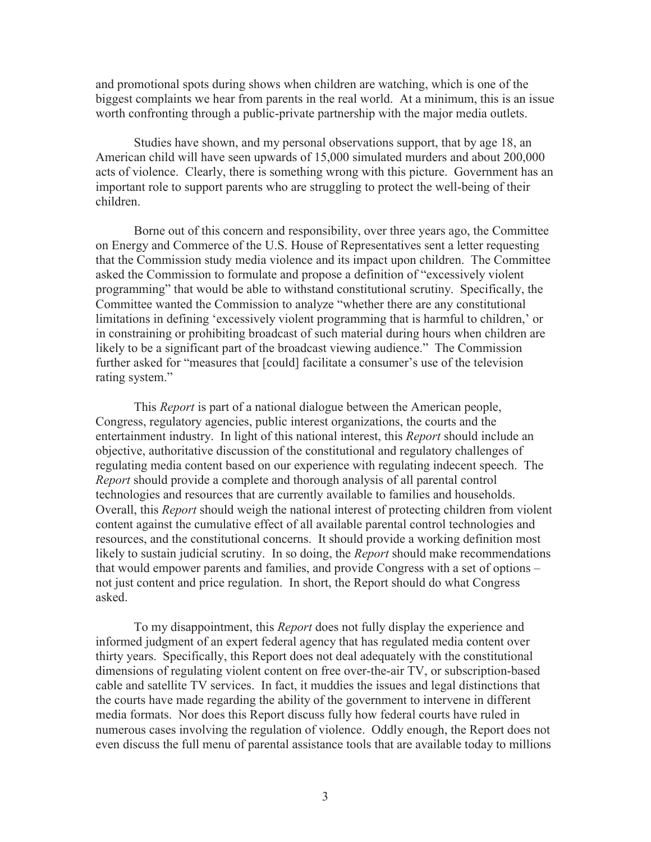and promotional spots during shows when children are watching, which is one of the biggest complaints we hear from parents in the real world. At a minimum, this is an issue worth confronting through a public-private partnership with the major media outlets.

Studies have shown, and my personal observations support, that by age 18, an American child will have seen upwards of 15,000 simulated murders and about 200,000 acts of violence. Clearly, there is something wrong with this picture. Government has an important role to support parents who are struggling to protect the well-being of their children.

Borne out of this concern and responsibility, over three years ago, the Committee on Energy and Commerce of the U.S. House of Representatives sent a letter requesting that the Commission study media violence and its impact upon children. The Committee asked the Commission to formulate and propose a definition of "excessively violent programming" that would be able to withstand constitutional scrutiny. Specifically, the Committee wanted the Commission to analyze "whether there are any constitutional limitations in defining 'excessively violent programming that is harmful to children,' or in constraining or prohibiting broadcast of such material during hours when children are likely to be a significant part of the broadcast viewing audience." The Commission further asked for "measures that [could] facilitate a consumer's use of the television rating system."

This *Report* is part of a national dialogue between the American people, Congress, regulatory agencies, public interest organizations, the courts and the entertainment industry. In light of this national interest, this *Report* should include an objective, authoritative discussion of the constitutional and regulatory challenges of regulating media content based on our experience with regulating indecent speech. The *Report* should provide a complete and thorough analysis of all parental control technologies and resources that are currently available to families and households. Overall, this *Report* should weigh the national interest of protecting children from violent content against the cumulative effect of all available parental control technologies and resources, and the constitutional concerns. It should provide a working definition most likely to sustain judicial scrutiny. In so doing, the *Report* should make recommendations that would empower parents and families, and provide Congress with a set of options – not just content and price regulation. In short, the Report should do what Congress asked.

To my disappointment, this *Report* does not fully display the experience and informed judgment of an expert federal agency that has regulated media content over thirty years. Specifically, this Report does not deal adequately with the constitutional dimensions of regulating violent content on free over-the-air TV, or subscription-based cable and satellite TV services. In fact, it muddies the issues and legal distinctions that the courts have made regarding the ability of the government to intervene in different media formats. Nor does this Report discuss fully how federal courts have ruled in numerous cases involving the regulation of violence. Oddly enough, the Report does not even discuss the full menu of parental assistance tools that are available today to millions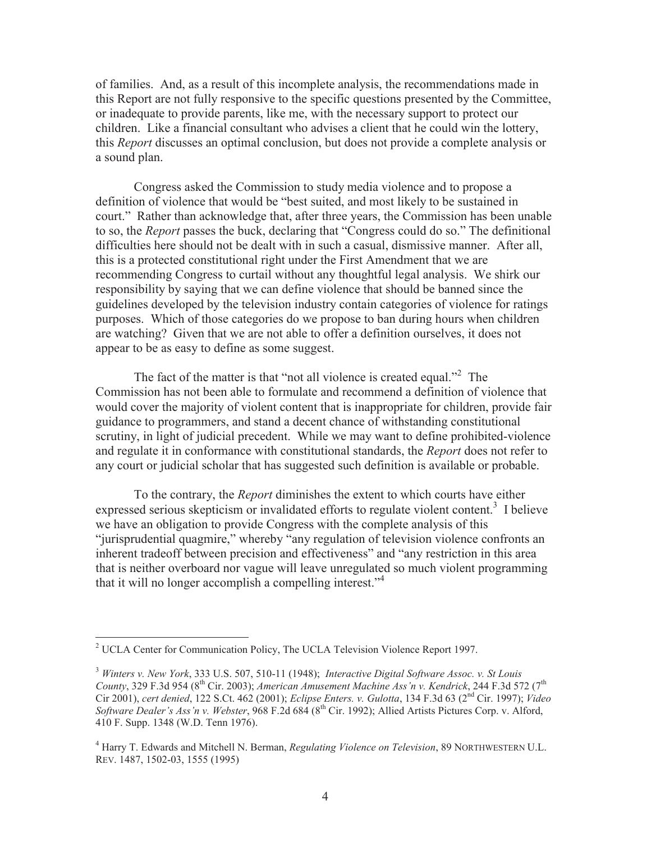of families. And, as a result of this incomplete analysis, the recommendations made in this Report are not fully responsive to the specific questions presented by the Committee, or inadequate to provide parents, like me, with the necessary support to protect our children. Like a financial consultant who advises a client that he could win the lottery, this *Report* discusses an optimal conclusion, but does not provide a complete analysis or a sound plan.

Congress asked the Commission to study media violence and to propose a definition of violence that would be "best suited, and most likely to be sustained in court." Rather than acknowledge that, after three years, the Commission has been unable to so, the *Report* passes the buck, declaring that "Congress could do so." The definitional difficulties here should not be dealt with in such a casual, dismissive manner. After all, this is a protected constitutional right under the First Amendment that we are recommending Congress to curtail without any thoughtful legal analysis. We shirk our responsibility by saying that we can define violence that should be banned since the guidelines developed by the television industry contain categories of violence for ratings purposes. Which of those categories do we propose to ban during hours when children are watching? Given that we are not able to offer a definition ourselves, it does not appear to be as easy to define as some suggest.

The fact of the matter is that "not all violence is created equal."<sup>2</sup> The Commission has not been able to formulate and recommend a definition of violence that would cover the majority of violent content that is inappropriate for children, provide fair guidance to programmers, and stand a decent chance of withstanding constitutional scrutiny, in light of judicial precedent. While we may want to define prohibited-violence and regulate it in conformance with constitutional standards, the *Report* does not refer to any court or judicial scholar that has suggested such definition is available or probable.

To the contrary, the *Report* diminishes the extent to which courts have either expressed serious skepticism or invalidated efforts to regulate violent content.<sup>3</sup> I believe we have an obligation to provide Congress with the complete analysis of this "jurisprudential quagmire," whereby "any regulation of television violence confronts an inherent tradeoff between precision and effectiveness" and "any restriction in this area that is neither overboard nor vague will leave unregulated so much violent programming that it will no longer accomplish a compelling interest."<sup>4</sup>

<sup>2</sup> UCLA Center for Communication Policy, The UCLA Television Violence Report 1997.

<sup>3</sup> *Winters v. New York*, 333 U.S. 507, 510-11 (1948); *Interactive Digital Software Assoc. v. St Louis County*, 329 F.3d 954 (8<sup>th</sup> Cir. 2003); *American Amusement Machine Ass'n v. Kendrick*, 244 F.3d 572 (7<sup>th</sup> Cir 2001), *cert denied*, 122 S.Ct. 462 (2001); *Eclipse Enters. v. Gulotta*, 134 F.3d 63 (2nd Cir. 1997); *Video Software Dealer's Ass'n v. Webster*, 968 F.2d 684 (8th Cir. 1992); Allied Artists Pictures Corp. v. Alford, 410 F. Supp. 1348 (W.D. Tenn 1976).

<sup>4</sup> Harry T. Edwards and Mitchell N. Berman, *Regulating Violence on Television*, 89 NORTHWESTERN U.L. REV. 1487, 1502-03, 1555 (1995)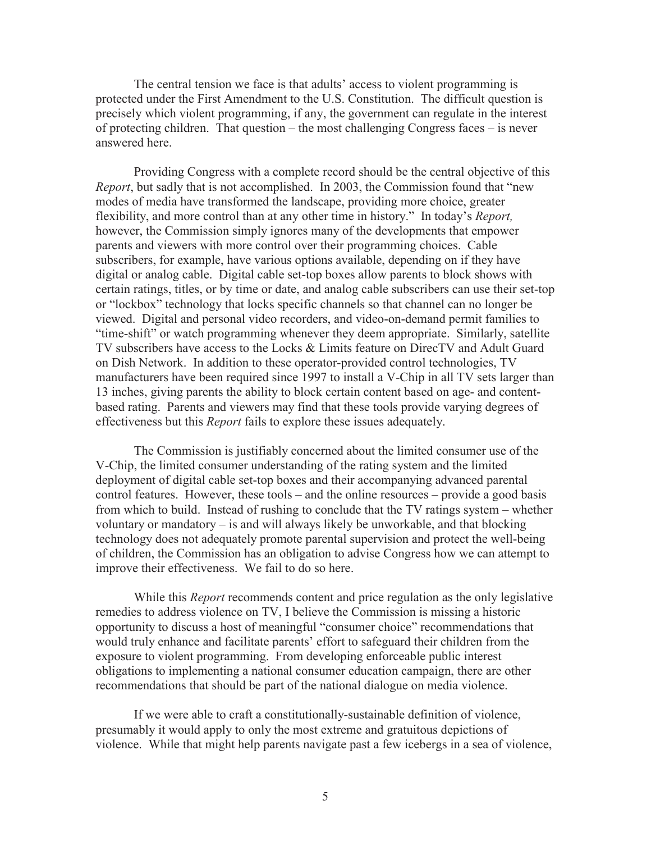The central tension we face is that adults' access to violent programming is protected under the First Amendment to the U.S. Constitution. The difficult question is precisely which violent programming, if any, the government can regulate in the interest of protecting children. That question – the most challenging Congress faces – is never answered here.

Providing Congress with a complete record should be the central objective of this *Report*, but sadly that is not accomplished. In 2003, the Commission found that "new modes of media have transformed the landscape, providing more choice, greater flexibility, and more control than at any other time in history." In today's *Report,*  however, the Commission simply ignores many of the developments that empower parents and viewers with more control over their programming choices. Cable subscribers, for example, have various options available, depending on if they have digital or analog cable. Digital cable set-top boxes allow parents to block shows with certain ratings, titles, or by time or date, and analog cable subscribers can use their set-top or "lockbox" technology that locks specific channels so that channel can no longer be viewed. Digital and personal video recorders, and video-on-demand permit families to "time-shift" or watch programming whenever they deem appropriate. Similarly, satellite TV subscribers have access to the Locks & Limits feature on DirecTV and Adult Guard on Dish Network. In addition to these operator-provided control technologies, TV manufacturers have been required since 1997 to install a V-Chip in all TV sets larger than 13 inches, giving parents the ability to block certain content based on age- and contentbased rating. Parents and viewers may find that these tools provide varying degrees of effectiveness but this *Report* fails to explore these issues adequately.

The Commission is justifiably concerned about the limited consumer use of the V-Chip, the limited consumer understanding of the rating system and the limited deployment of digital cable set-top boxes and their accompanying advanced parental control features. However, these tools – and the online resources – provide a good basis from which to build. Instead of rushing to conclude that the TV ratings system – whether voluntary or mandatory – is and will always likely be unworkable, and that blocking technology does not adequately promote parental supervision and protect the well-being of children, the Commission has an obligation to advise Congress how we can attempt to improve their effectiveness. We fail to do so here.

While this *Report* recommends content and price regulation as the only legislative remedies to address violence on TV, I believe the Commission is missing a historic opportunity to discuss a host of meaningful "consumer choice" recommendations that would truly enhance and facilitate parents' effort to safeguard their children from the exposure to violent programming. From developing enforceable public interest obligations to implementing a national consumer education campaign, there are other recommendations that should be part of the national dialogue on media violence.

If we were able to craft a constitutionally-sustainable definition of violence, presumably it would apply to only the most extreme and gratuitous depictions of violence. While that might help parents navigate past a few icebergs in a sea of violence,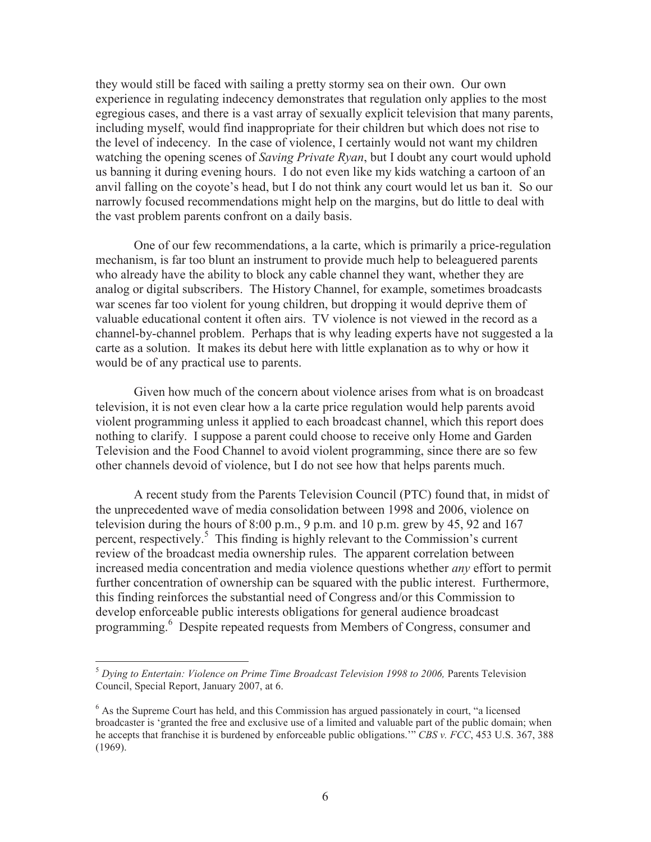they would still be faced with sailing a pretty stormy sea on their own. Our own experience in regulating indecency demonstrates that regulation only applies to the most egregious cases, and there is a vast array of sexually explicit television that many parents, including myself, would find inappropriate for their children but which does not rise to the level of indecency. In the case of violence, I certainly would not want my children watching the opening scenes of *Saving Private Ryan*, but I doubt any court would uphold us banning it during evening hours. I do not even like my kids watching a cartoon of an anvil falling on the coyote's head, but I do not think any court would let us ban it. So our narrowly focused recommendations might help on the margins, but do little to deal with the vast problem parents confront on a daily basis.

One of our few recommendations, a la carte, which is primarily a price-regulation mechanism, is far too blunt an instrument to provide much help to beleaguered parents who already have the ability to block any cable channel they want, whether they are analog or digital subscribers. The History Channel, for example, sometimes broadcasts war scenes far too violent for young children, but dropping it would deprive them of valuable educational content it often airs. TV violence is not viewed in the record as a channel-by-channel problem. Perhaps that is why leading experts have not suggested a la carte as a solution. It makes its debut here with little explanation as to why or how it would be of any practical use to parents.

Given how much of the concern about violence arises from what is on broadcast television, it is not even clear how a la carte price regulation would help parents avoid violent programming unless it applied to each broadcast channel, which this report does nothing to clarify. I suppose a parent could choose to receive only Home and Garden Television and the Food Channel to avoid violent programming, since there are so few other channels devoid of violence, but I do not see how that helps parents much.

A recent study from the Parents Television Council (PTC) found that, in midst of the unprecedented wave of media consolidation between 1998 and 2006, violence on television during the hours of  $8:00$  p.m., 9 p.m. and 10 p.m. grew by 45, 92 and 167 percent, respectively.<sup>5</sup> This finding is highly relevant to the Commission's current review of the broadcast media ownership rules. The apparent correlation between increased media concentration and media violence questions whether *any* effort to permit further concentration of ownership can be squared with the public interest. Furthermore, this finding reinforces the substantial need of Congress and/or this Commission to develop enforceable public interests obligations for general audience broadcast programming.<sup>6</sup> Despite repeated requests from Members of Congress, consumer and

<sup>&</sup>lt;sup>5</sup> Dying to Entertain: Violence on Prime Time Broadcast Television 1998 to 2006, Parents Television Council, Special Report, January 2007, at 6.

<sup>&</sup>lt;sup>6</sup> As the Supreme Court has held, and this Commission has argued passionately in court, "a licensed broadcaster is 'granted the free and exclusive use of a limited and valuable part of the public domain; when he accepts that franchise it is burdened by enforceable public obligations.'" *CBS v. FCC*, 453 U.S. 367, 388 (1969).